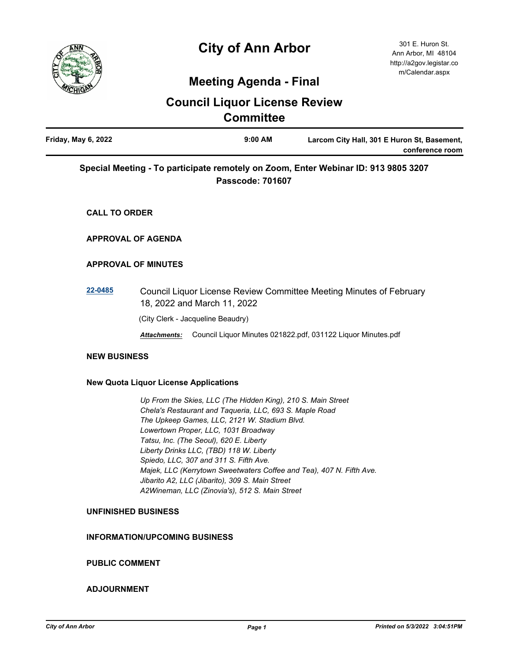

# **City of Ann Arbor**

## **Meeting Agenda - Final**

## **Council Liquor License Review Committee**

| Friday, May 6, 2022 | $9:00$ AM | Larcom City Hall, 301 E Huron St, Basement, |
|---------------------|-----------|---------------------------------------------|
|                     |           | conference room                             |
|                     |           |                                             |

### **Special Meeting - To participate remotely on Zoom, Enter Webinar ID: 913 9805 3207 Passcode: 701607**

**CALL TO ORDER**

### **APPROVAL OF AGENDA**

#### **APPROVAL OF MINUTES**

**[22-0485](http://a2gov.legistar.com/gateway.aspx?M=L&ID=29669)** Council Liquor License Review Committee Meeting Minutes of February 18, 2022 and March 11, 2022

(City Clerk - Jacqueline Beaudry)

*Attachments:* Council Liquor Minutes 021822.pdf, 031122 Liquor Minutes.pdf

#### **NEW BUSINESS**

#### **New Quota Liquor License Applications**

 *Up From the Skies, LLC (The Hidden King), 210 S. Main Street Chela's Restaurant and Taqueria, LLC, 693 S. Maple Road The Upkeep Games, LLC, 2121 W. Stadium Blvd. Lowertown Proper, LLC, 1031 Broadway Tatsu, Inc. (The Seoul), 620 E. Liberty Liberty Drinks LLC, (TBD) 118 W. Liberty Spiedo, LLC, 307 and 311 S. Fifth Ave. Majek, LLC (Kerrytown Sweetwaters Coffee and Tea), 407 N. Fifth Ave. Jibarito A2, LLC (Jibarito), 309 S. Main Street A2Wineman, LLC (Zinovia's), 512 S. Main Street*

#### **UNFINISHED BUSINESS**

#### **INFORMATION/UPCOMING BUSINESS**

#### **PUBLIC COMMENT**

#### **ADJOURNMENT**